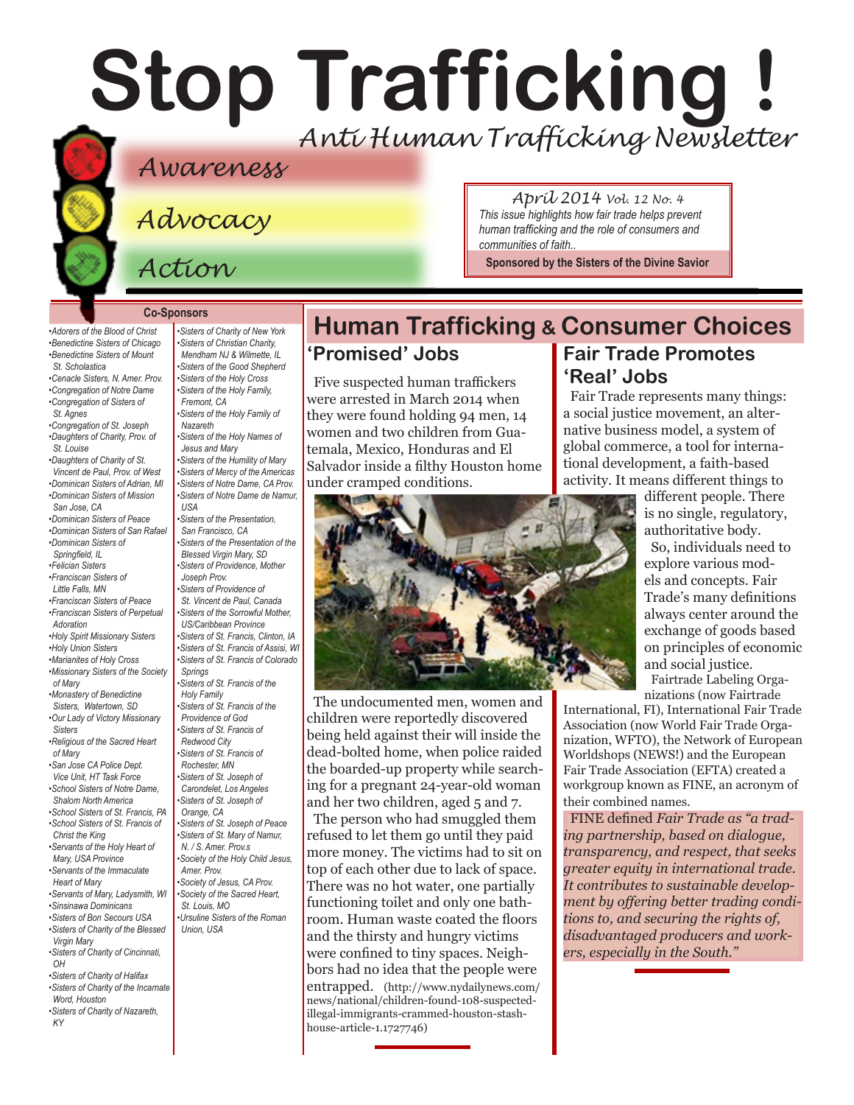# **Stop Trafficking !** *Anti Human Trafficking Newsletter*

## *Awareness*

*Advocacy*

*Action*

#### *April 2014 Vol. 12 No. 4 This issue highlights how fair trade helps prevent human trafficking and the role of consumers and communities of faith..*

**Sponsored by the [Sisters of the Divine Savior](http://www.sistersofthedivinesavior.org)**

#### **Co-Sponsors**

*•Adorers of the Blood of Christ •Benedictine Sisters of Chicago •Benedictine Sisters of Mount St. Scholastica •Cenacle Sisters, N. Amer. Prov. [•Congregation of Notre Dame](http://www.cnd-m.com/index.html) •Congregation of Sisters of St. Agnes •Congregation of St. Joseph [•Daughters of Charity, Prov. of](http://www.daughtersofcharity.org)  [St. Louise](http://www.daughtersofcharity.org)  [•Daughters of Charity of St.](http://www.daughtersofcharity.com)  [Vincent de Paul, Prov. of West](http://www.daughtersofcharity.com) [•Dominican Sisters of Adrian, MI](http://www.adriandominicans.org/ ) [•Dominican Sisters of Mission](http://www.msjdominicans.org/)  [San Jose, CA](http://www.msjdominicans.org/)  [•Dominican Sisters of Peace](http://www.oppeace.org/ ) [•Dominican Sisters of San Rafael](http://www.sanrafaelop.org/) [•Dominican Sisters of](http://www.springfieldop.org)   [Springfield, IL](http://www.springfieldop.org) [•Felician Sisters](http://www.feliciansisters.org) [•Franciscan Sisters of](http://www.fslf.org)  Little Falls, MN [•Franciscan Sisters of Peace](http://www.fspnet.org ) [•Franciscan Sisters of Pe](http://www.fspa.org)rpetual Adoration [•Holy Spirit Missionary Sisters](http://www.ssps-usa.org) [•Holy Union Sisters](http://www.holyunionsisters.org/)  [•Marianites of Holy Cross](http://www.marianites.org/) [•Missionary Sisters of the Society](http://www.maristmissionarysmsm.org/)  [of Mary](http://www.maristmissionarysmsm.org/) [•Monastery of Benedictine](http://www.watertownbenedictines.org)  [Sisters, Watertown, SD](http://www.watertownbenedictines.org) [•Our Lady of Victory Missionary](http://www.olvm.org)  [Sisters](http://www.olvm.org) [•Religious of the Sacred Heart](http://www.rshm.org)  [of Mary](http://www.rshm.org)  [•San Jose CA Police Dept.](http://www.sjpd.org/stopht)  [Vice Unit, HT Task Force](http://www.sjpd.org/stopht) [•School Sisters of Notre Dame,](http://www.ssnd.org/central-pacific)  Shalom North America [•School Sisters of St. Francis, PA](http://www.schoolsistersosf.org) [•School Sisters of St. Francis of](http://www.lemontfranciscans.org/)  [Christ the King](http://www.lemontfranciscans.org/) [•Servants of the Holy Heart of](http://www.sscm-usa.org/)  [Mary, USA Province](http://www.sscm-usa.org/)  [•Servants of the Immaculate](http://www.scimsisters.org)  [Heart of Mary](http://www.scimsisters.org) [•Servants of Mary, Ladysmith, WI](http://servitesisters.org)  [•Sinsinawa Dominicans](http://www.sinsinawa.org/<200E>) [•Sisters of Bon Secours USA](http://www.bonsecours.org/us)  [•Sisters of Charity of the Blessed](http://www.bvmcong.org)  [Virgin Mary](http://www.bvmcong.org) [•Sisters of Charity of Cincinnati,](http://www.srcharitycinti.org/)  [OH](http://www.srcharitycinti.org/) [•Sisters of Charity of Halifax](http://www.schalifax.ca)  [•Sisters of Charity of the Incarnate](http://www.sistersofcharity.org)* 

*[KY](http://www.scny.org/)*

*[Word, Houston](http://www.sistersofcharity.org)  [•Sisters of Charity of Nazareth,](http://www.scny.org/)* 

*[•Sisters of Charity of New York](http://www.scny.org/)  •Sisters of [Christian Charity,](http://www.scceast.org)  [Mendham](http://www.scceast.org) NJ [& Wilmette, IL](http://www.sccwilmette.org)  [•Sisters of the Good Shepherd](http://www.goodshepherdsisters.org/) [•Sisters of the Holy Cross](http://www.cscsisters.org/) [•Sisters of the Holy Family,](http://www.holyfamilysisters.org/)  [Fremont, CA](http://www.holyfamilysisters.org/)  [•Sisters of the Holy Family of](http://www.nazarethcsfn.org/)  [Nazareth](http://www.nazarethcsfn.org/) [•Sisters of the Holy Names of](http://www.snjm.org/)  [Jesus and Mary](http://www.snjm.org/)  [•Sisters of the Humility of Mary](http://www.humilityofmary.org)  [•Sisters of Mercy of the Americas](http://www.sistersofmercy.org/) [•Sisters of Notre Dame, CA Prov](http://www.sndca.org/). [•Sisters of Notre Dame](http://www.sndden.org/) de Namur, USA [•Sisters of the Presentation,](http://www.presentationsisterssf.org/)  [San Francisco, CA](http://www.presentationsisterssf.org/) [•Sisters of the Presentation of the](http://www.presentationsisters.org/)  [Blessed Virgin Mary, SD](http://www.presentationsisters.org/) [•Sisters of Providence, Mother](http://www.sistersofprovidence.net)  [Joseph Prov.](http://www.sistersofprovidence.net)  [•Sisters of Providence of](http://www.providence.ca)  [St. Vincent de Paul, Canada](http://www.providence.ca)  [•Sisters of the Sorrowful Mother,](http://www.ssmfranciscans.org/)  [US/Caribbean Province](http://www.ssmfranciscans.org/) [•Sisters of St. Francis, Clinton, IA](http://www.clintonfranciscans.com/<200E>) [•Sisters of St. Francis of Assisi, WI](http://www.lakeosfs.org/) [•Sisters of St. Francis of Colorado](http://www.stfrancis.org)  [Springs](http://www.stfrancis.org)  [•Sisters of St. Francis of the](http://www.osfdbq.org/<200E>)  Holy Family [•Sisters of St. Francis of the](http://www.osfprov.org/)  [Providence of God](http://www.osfprov.org/) [•Sisters of St. Francis of](http://www.stfrancisprovince.org)  [Redwood City](http://www.stfrancisprovince.org)  [•Sisters of St. Francis of](http://www.rochesterfranciscan.org/)  [Rochester, MN](http://www.rochesterfranciscan.org/) [•Sisters of St. Joseph of](http://www.csjla.org)  [Carondelet, Los Angeles](http://www.csjla.org)  [•Sisters of St. Joseph of](http://www.sistersofstjosephorange.org/)  [Orange, CA](http://www.sistersofstjosephorange.org/)  [•Sisters of St. Joseph of Peace](http://www.csjp.org/<200E>) [•Sisters of St. Mary of Namur,](http://www.ssmn-e.com)  [N. / S. Amer. Prov.s](http://www.ssmn-e.com) [•Society of the Holy Child Jesus,](http://www.shcj.org )  [Amer. Prov.](http://www.shcj.org ) [•Society of Jesus, CA Prov.](http://www.jesuitscalifornia.org/<200E>) [•Society of the Sacred Heart,](http://www.rscj.org)  [St. Louis, MO](http://www.rscj.org) [•Ursuline Sisters of the Roman](http://usaromanunionursulines.org/)  [Union, USA](http://usaromanunionursulines.org/)*

#### **Human Trafficking & Consumer Choices 'Promised' Jobs Fair Trade Promotes**

Five suspected human traffickers were arrested in March 2014 when they were found holding 94 men, 14 women and two children from Guatemala, Mexico, Honduras and El Salvador inside a filthy Houston home under cramped conditions.



The undocumented men, women and children were reportedly discovered being held against their will inside the dead-bolted home, when police raided the boarded-up property while searching for a pregnant 24-year-old woman and her two children, aged 5 and 7.

The person who had smuggled them refused to let them go until they paid more money. The victims had to sit on top of each other due to lack of space. There was no hot water, one partially functioning toilet and only one bathroom. Human waste coated the floors and the thirsty and hungry victims were confined to tiny spaces. Neighbors had no idea that the people were entrapped. (http://www.nydailynews.com/ news/national/children-found-108-suspectedillegal-immigrants-crammed-houston-stashhouse-article-1.1727746)

# **'Real' Jobs**

Fair Trade represents many things: a social justice movement, an alternative business model, a system of global commerce, a tool for international development, a faith-based activity. It means different things to

> different people. There is no single, regulatory, authoritative body.

So, individuals need to explore various models and concepts. Fair Trade's many definitions always center around the exchange of goods based on principles of economic and social justice.

Fairtrade Labeling Organizations (now Fairtrade

International, FI), International Fair Trade Association (now World Fair Trade Organization, WFTO), the Network of European Worldshops (NEWS!) and the European Fair Trade Association (EFTA) created a workgroup known as FINE, an acronym of their combined names.

FINE defined *Fair Trade as "a trading partnership, based on dialogue, transparency, and respect, that seeks greater equity in international trade. It contributes to sustainable development by offering better trading conditions to, and securing the rights of, disadvantaged producers and workers, especially in the South."*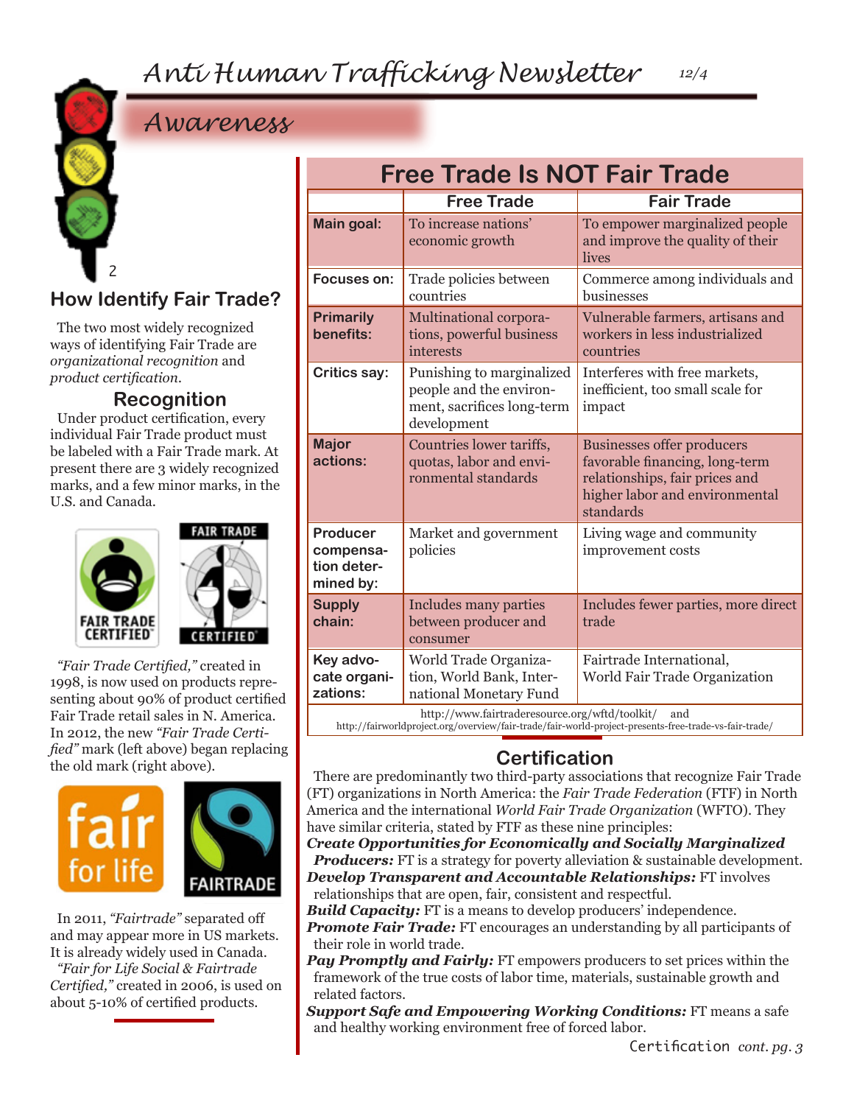# *Anti Human Trafficking Newsletter*

# *Awareness*



The two most widely recognized ways of identifying Fair Trade are *organizational recognition* and *product certification.* 

#### **Recognition**

Under product certification, every individual Fair Trade product must be labeled with a Fair Trade mark. At present there are 3 widely recognized marks, and a few minor marks, in the U.S. and Canada.





*"Fair Trade Certified,"* created in 1998, is now used on products representing about 90% of product certified Fair Trade retail sales in N. America. In 2012, the new *"Fair Trade Certified"* mark (left above) began replacing the old mark (right above).



In 2011, *"Fairtrade"* separated off and may appear more in US markets. It is already widely used in Canada.

*"Fair for Life Social & Fairtrade Certified,"* created in 2006, is used on about 5-10% of certified products.

| <b>Free Trade Is NOT Fair Trade</b>                                                                                                                            |                                                                                                   |                                                                                                                                                      |
|----------------------------------------------------------------------------------------------------------------------------------------------------------------|---------------------------------------------------------------------------------------------------|------------------------------------------------------------------------------------------------------------------------------------------------------|
|                                                                                                                                                                | <b>Free Trade</b>                                                                                 | <b>Fair Trade</b>                                                                                                                                    |
| <b>Main goal:</b>                                                                                                                                              | To increase nations'<br>economic growth                                                           | To empower marginalized people<br>and improve the quality of their<br>lives                                                                          |
| Focuses on:                                                                                                                                                    | Trade policies between<br>countries                                                               | Commerce among individuals and<br>businesses                                                                                                         |
| <b>Primarily</b><br>benefits:                                                                                                                                  | Multinational corpora-<br>tions, powerful business<br>interests                                   | Vulnerable farmers, artisans and<br>workers in less industrialized<br>countries                                                                      |
| <b>Critics say:</b>                                                                                                                                            | Punishing to marginalized<br>people and the environ-<br>ment, sacrifices long-term<br>development | Interferes with free markets,<br>inefficient, too small scale for<br>impact                                                                          |
| <b>Major</b><br>actions:                                                                                                                                       | Countries lower tariffs,<br>quotas, labor and envi-<br>ronmental standards                        | <b>Businesses offer producers</b><br>favorable financing, long-term<br>relationships, fair prices and<br>higher labor and environmental<br>standards |
| Producer<br>compensa-<br>tion deter-<br>mined by:                                                                                                              | Market and government<br>policies                                                                 | Living wage and community<br>improvement costs                                                                                                       |
| <b>Supply</b><br>chain:                                                                                                                                        | <b>Includes many parties</b><br>between producer and<br>consumer                                  | Includes fewer parties, more direct<br>trade                                                                                                         |
| Key advo-<br>cate organi-<br>zations:                                                                                                                          | World Trade Organiza-<br>tion, World Bank, Inter-<br>national Monetary Fund                       | Fairtrade International,<br>World Fair Trade Organization                                                                                            |
| http://www.fairtraderesource.org/wftd/toolkit/<br>and<br>http://fairworldproject.org/overview/fair-trade/fair-world-project-presents-free-trade-vs-fair-trade/ |                                                                                                   |                                                                                                                                                      |

*12/4*

## **Certification**

There are predominantly two third-party associations that recognize Fair Trade (FT) organizations in North America: the *Fair Trade Federation* (FTF) in North America and the international *World Fair Trade Organization* (WFTO). They have similar criteria, stated by FTF as these nine principles:

*Create Opportunities for Economically and Socially Marginalized Producers:* FT is a strategy for poverty alleviation & sustainable development. *Develop Transparent and Accountable Relationships:* FT involves

relationships that are open, fair, consistent and respectful. *Build Capacity:* FT is a means to develop producers' independence.

**Promote Fair Trade:** FT encourages an understanding by all participants of their role in world trade.

*Pay Promptly and Fairly:* FT empowers producers to set prices within the framework of the true costs of labor time, materials, sustainable growth and related factors.

*Support Safe and Empowering Working Conditions:* FT means a safe and healthy working environment free of forced labor.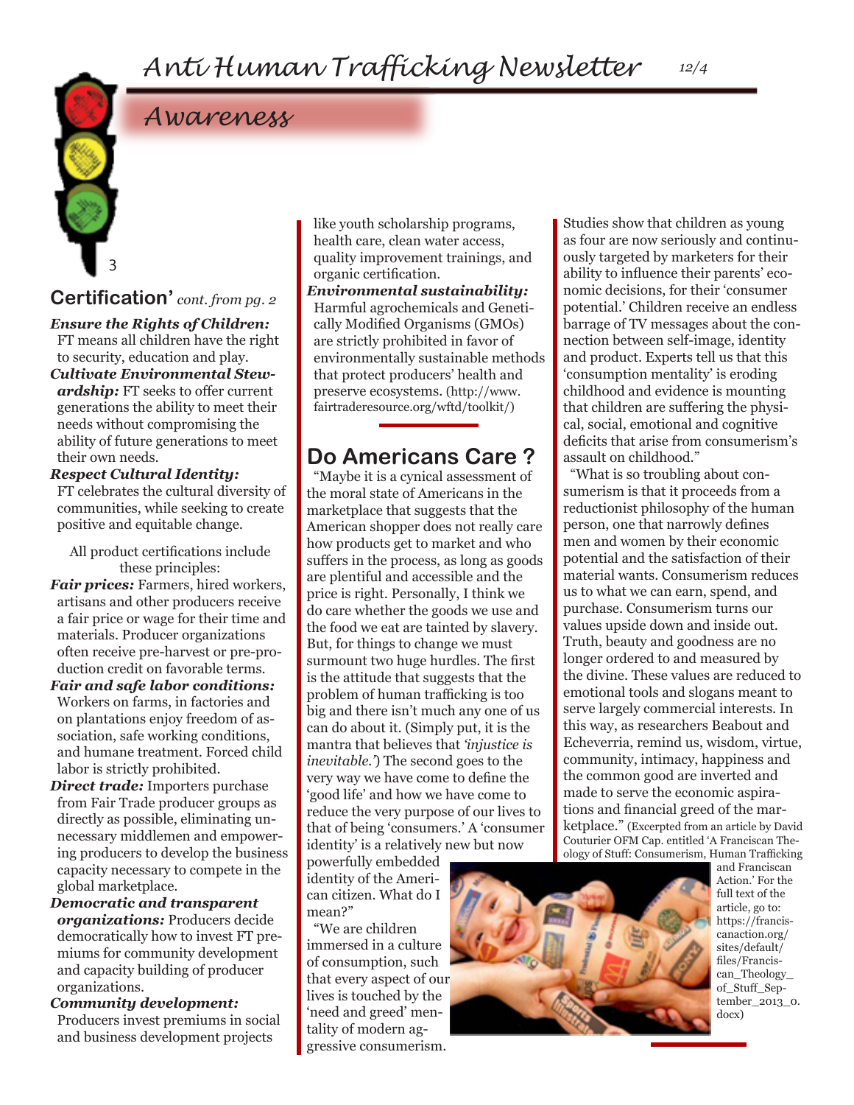# *Awareness*

## **Certification'** *cont. from pg. 2*

3

*Ensure the Rights of Children:* 

FT means all children have the right to security, education and play. *Cultivate Environmental Stewardship:* FT seeks to offer current generations the ability to meet their needs without compromising the ability of future generations to meet their own needs.

#### *Respect Cultural Identity:*

FT celebrates the cultural diversity of communities, while seeking to create positive and equitable change.

All product certifications include these principles:

*Fair prices:* Farmers, hired workers, artisans and other producers receive a fair price or wage for their time and materials. Producer organizations often receive pre-harvest or pre-production credit on favorable terms.

*Fair and safe labor conditions:*  Workers on farms, in factories and on plantations enjoy freedom of association, safe working conditions, and humane treatment. Forced child labor is strictly prohibited.

*Direct trade:* Importers purchase from Fair Trade producer groups as directly as possible, eliminating unnecessary middlemen and empowering producers to develop the business capacity necessary to compete in the global marketplace.

*Democratic and transparent organizations:* Producers decide democratically how to invest FT premiums for community development and capacity building of producer organizations.

*Community development:*  Producers invest premiums in social and business development projects

like youth scholarship programs, health care, clean water access, quality improvement trainings, and organic certification.

*Environmental sustainability:*  Harmful agrochemicals and Genetically Modified Organisms (GMOs) are strictly prohibited in favor of environmentally sustainable methods that protect producers' health and preserve ecosystems. (http://www. fairtraderesource.org/wftd/toolkit/)

## **Do Americans Care ?**

"Maybe it is a cynical assessment of the moral state of Americans in the marketplace that suggests that the American shopper does not really care how products get to market and who suffers in the process, as long as goods are plentiful and accessible and the price is right. Personally, I think we do care whether the goods we use and the food we eat are tainted by slavery. But, for things to change we must surmount two huge hurdles. The first is the attitude that suggests that the problem of human trafficking is too big and there isn't much any one of us can do about it. (Simply put, it is the mantra that believes that *'injustice is inevitable.'*) The second goes to the very way we have come to define the 'good life' and how we have come to reduce the very purpose of our lives to that of being 'consumers.' A 'consumer identity' is a relatively new but now

powerfully embedded identity of the American citizen. What do I mean?"

"We are children immersed in a culture of consumption, such that every aspect of our lives is touched by the 'need and greed' mentality of modern aggressive consumerism.

Studies show that children as young as four are now seriously and continuously targeted by marketers for their ability to influence their parents' economic decisions, for their 'consumer potential.' Children receive an endless barrage of TV messages about the connection between self-image, identity and product. Experts tell us that this 'consumption mentality' is eroding childhood and evidence is mounting that children are suffering the physical, social, emotional and cognitive deficits that arise from consumerism's assault on childhood."

"What is so troubling about consumerism is that it proceeds from a reductionist philosophy of the human person, one that narrowly defines men and women by their economic potential and the satisfaction of their material wants. Consumerism reduces us to what we can earn, spend, and purchase. Consumerism turns our values upside down and inside out. Truth, beauty and goodness are no longer ordered to and measured by the divine. These values are reduced to emotional tools and slogans meant to serve largely commercial interests. In this way, as researchers Beabout and Echeverria, remind us, wisdom, virtue, community, intimacy, happiness and the common good are inverted and made to serve the economic aspirations and financial greed of the marketplace." (Excerpted from an article by David Couturier OFM Cap. entitled 'A Franciscan Theology of Stuff: Consumerism, Human Trafficking



and Franciscan Action.' For the full text of the article, go to: https://franciscanaction.org/ sites/default/ files/Franciscan\_Theology\_ of\_Stuff\_September\_2013\_0. docx)

*12/4*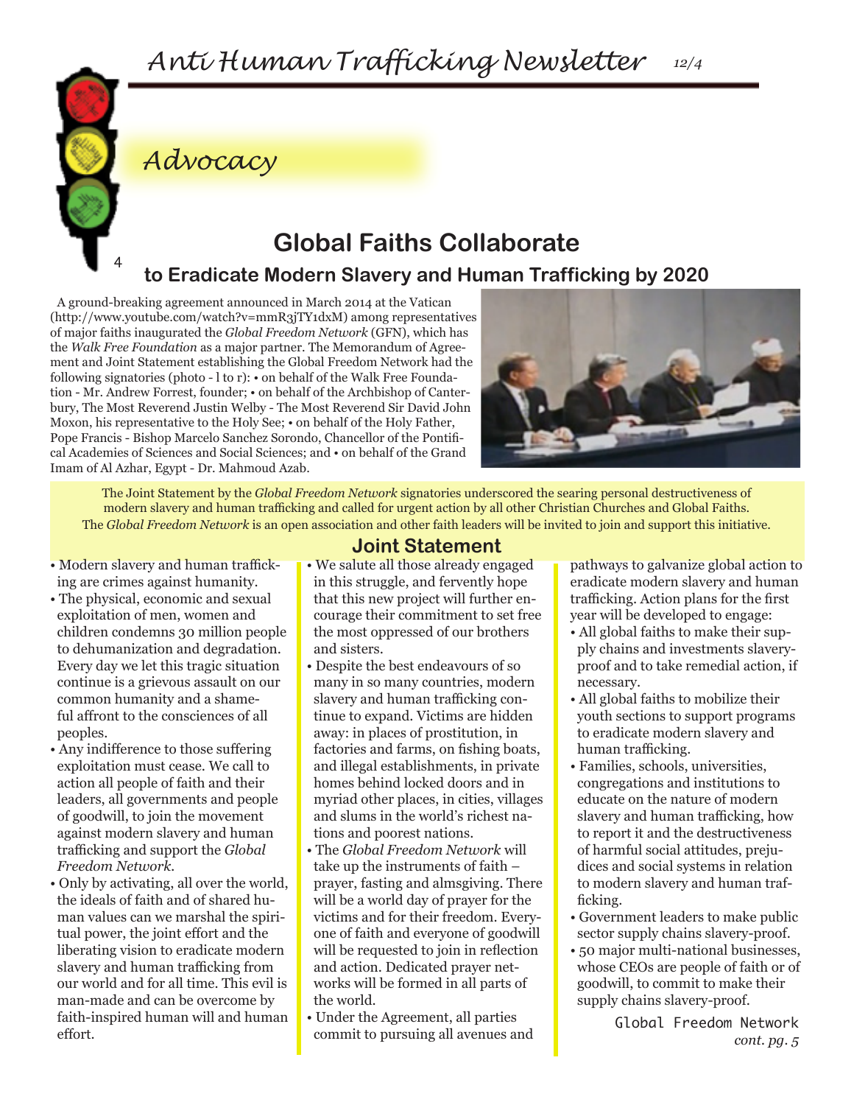

# *Advocacy*

# **Global Faiths Collaborate**

## **to Eradicate Modern Slavery and Human Trafficking by 2020**

A ground-breaking agreement announced in March 2014 at the Vatican (http://www.youtube.com/watch?v=mmR3jTY1dxM) among representatives of major faiths inaugurated the *Global Freedom Network* (GFN), which has the *Walk Free Foundation* as a major partner. The Memorandum of Agreement and Joint Statement establishing the Global Freedom Network had the following signatories (photo - l to r): • on behalf of the Walk Free Foundation - Mr. Andrew Forrest, founder; • on behalf of the Archbishop of Canterbury, The Most Reverend Justin Welby - The Most Reverend Sir David John Moxon, his representative to the Holy See; • on behalf of the Holy Father, Pope Francis - Bishop Marcelo Sanchez Sorondo, Chancellor of the Pontifical Academies of Sciences and Social Sciences; and • on behalf of the Grand Imam of Al Azhar, Egypt - Dr. Mahmoud Azab.



The Joint Statement by the *Global Freedom Network* signatories underscored the searing personal destructiveness of modern slavery and human trafficking and called for urgent action by all other Christian Churches and Global Faiths. The *Global Freedom Network* is an open association and other faith leaders will be invited to join and support this initiative.

- Modern slavery and human trafficking are crimes against humanity.
- The physical, economic and sexual exploitation of men, women and children condemns 30 million people to dehumanization and degradation. Every day we let this tragic situation continue is a grievous assault on our common humanity and a shameful affront to the consciences of all peoples.
- Any indifference to those suffering exploitation must cease. We call to action all people of faith and their leaders, all governments and people of goodwill, to join the movement against modern slavery and human trafficking and support the *Global Freedom Network.*
- Only by activating, all over the world, the ideals of faith and of shared human values can we marshal the spiritual power, the joint effort and the liberating vision to eradicate modern slavery and human trafficking from our world and for all time. This evil is man-made and can be overcome by faith-inspired human will and human effort.

## **Joint Statement**

- We salute all those already engaged in this struggle, and fervently hope that this new project will further encourage their commitment to set free the most oppressed of our brothers and sisters.
- Despite the best endeavours of so many in so many countries, modern slavery and human trafficking continue to expand. Victims are hidden away: in places of prostitution, in factories and farms, on fishing boats, and illegal establishments, in private homes behind locked doors and in myriad other places, in cities, villages and slums in the world's richest nations and poorest nations.
- The *Global Freedom Network* will take up the instruments of faith – prayer, fasting and almsgiving. There will be a world day of prayer for the victims and for their freedom. Everyone of faith and everyone of goodwill will be requested to join in reflection and action. Dedicated prayer networks will be formed in all parts of the world.
- Under the Agreement, all parties commit to pursuing all avenues and

pathways to galvanize global action to eradicate modern slavery and human trafficking. Action plans for the first year will be developed to engage:

- All global faiths to make their supply chains and investments slaveryproof and to take remedial action, if necessary.
- All global faiths to mobilize their youth sections to support programs to eradicate modern slavery and human trafficking.
- Families, schools, universities, congregations and institutions to educate on the nature of modern slavery and human trafficking, how to report it and the destructiveness of harmful social attitudes, prejudices and social systems in relation to modern slavery and human trafficking.
- Government leaders to make public sector supply chains slavery-proof.
- 50 major multi-national businesses, whose CEOs are people of faith or of goodwill, to commit to make their supply chains slavery-proof.

Global Freedom Network *cont. pg. 5*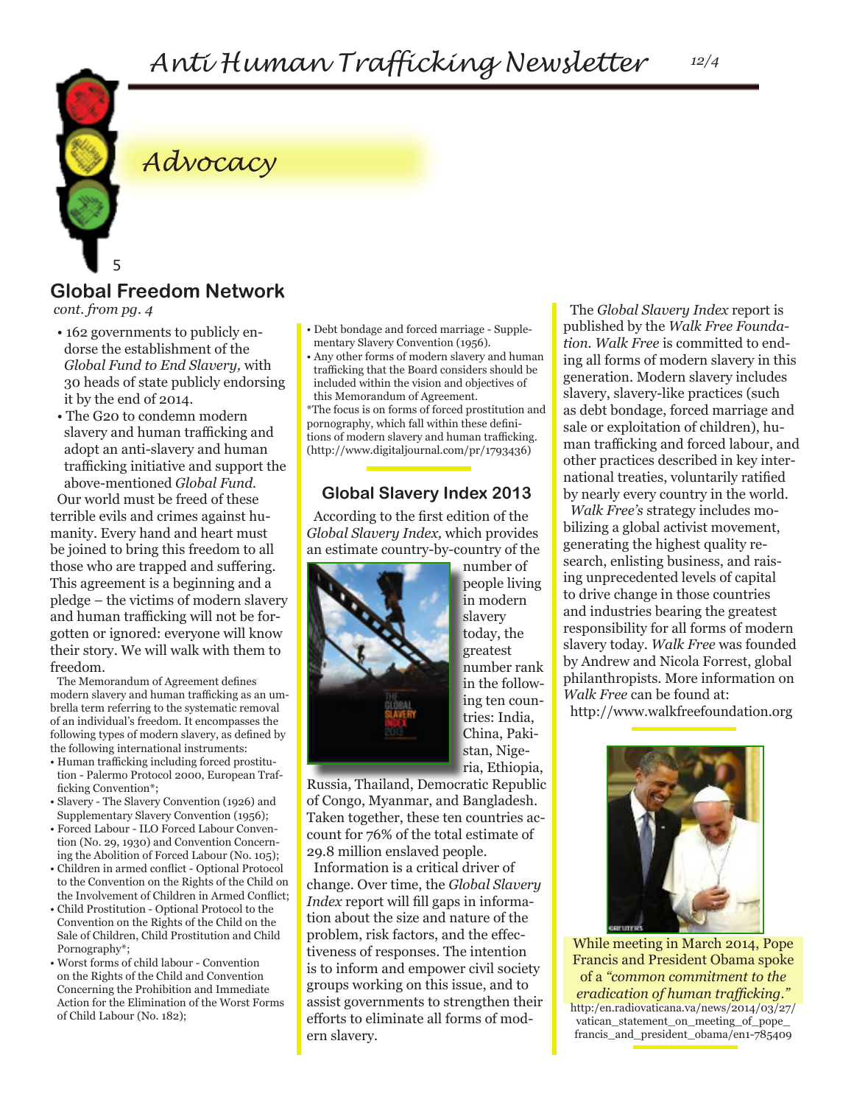

## *Advocacy*

## **Global Freedom Network**

*cont. from pg. 4*

- 162 governments to publicly endorse the establishment of the *Global Fund to End Slavery,* with 30 heads of state publicly endorsing it by the end of 2014.
- The G20 to condemn modern slavery and human trafficking and adopt an anti-slavery and human trafficking initiative and support the above-mentioned *Global Fund.*

Our world must be freed of these terrible evils and crimes against humanity. Every hand and heart must be joined to bring this freedom to all those who are trapped and suffering. This agreement is a beginning and a pledge – the victims of modern slavery and human trafficking will not be forgotten or ignored: everyone will know their story. We will walk with them to freedom.

The Memorandum of Agreement defines modern slavery and human trafficking as an umbrella term referring to the systematic removal of an individual's freedom. It encompasses the following types of modern slavery, as defined by the following international instruments:

- Human trafficking including forced prostitution - Palermo Protocol 2000, European Trafficking Convention\*;
- Slavery The Slavery Convention (1926) and Supplementary Slavery Convention (1956);
- Forced Labour ILO Forced Labour Convention (No. 29, 1930) and Convention Concerning the Abolition of Forced Labour (No. 105);
- Children in armed conflict Optional Protocol to the Convention on the Rights of the Child on the Involvement of Children in Armed Conflict;
- Child Prostitution Optional Protocol to the Convention on the Rights of the Child on the Sale of Children, Child Prostitution and Child Pornography\*;
- Worst forms of child labour Convention on the Rights of the Child and Convention Concerning the Prohibition and Immediate Action for the Elimination of the Worst Forms of Child Labour (No. 182);
- Debt bondage and forced marriage Supplementary Slavery Convention (1956).
- Any other forms of modern slavery and human trafficking that the Board considers should be included within the vision and objectives of this Memorandum of Agreement.

\*The focus is on forms of forced prostitution and pornography, which fall within these definitions of modern slavery and human trafficking. (http://www.digitaljournal.com/pr/1793436)

#### **Global Slavery Index 2013**

According to the first edition of the *Global Slavery Index,* which provides an estimate country-by-country of the



number of people living in modern slavery today, the greatest number rank in the following ten countries: India, China, Pakistan, Nigeria, Ethiopia,

Russia, Thailand, Democratic Republic of Congo, Myanmar, and Bangladesh. Taken together, these ten countries account for 76% of the total estimate of 29.8 million enslaved people.

Information is a critical driver of change. Over time, the *Global Slavery Index* report will fill gaps in information about the size and nature of the problem, risk factors, and the effectiveness of responses. The intention is to inform and empower civil society groups working on this issue, and to assist governments to strengthen their efforts to eliminate all forms of modern slavery.

The *Global Slavery Index* report is published by the *Walk Free Foundation. Walk Free* is committed to ending all forms of modern slavery in this generation. Modern slavery includes slavery, slavery-like practices (such as debt bondage, forced marriage and sale or exploitation of children), human trafficking and forced labour, and other practices described in key international treaties, voluntarily ratified by nearly every country in the world.

*Walk Free's* strategy includes mobilizing a global activist movement, generating the highest quality research, enlisting business, and raising unprecedented levels of capital to drive change in those countries and industries bearing the greatest responsibility for all forms of modern slavery today. *Walk Free* was founded by Andrew and Nicola Forrest, global philanthropists. More information on *Walk Free* can be found at:

http://www.walkfreefoundation.org



While meeting in March 2014, Pope Francis and President Obama spoke of a *"common commitment to the eradication of human trafficking."*  http:/en.radiovaticana.va/news/2014/03/27/ vatican\_statement\_on\_meeting\_of\_pope\_ francis\_and\_president\_obama/en1-785409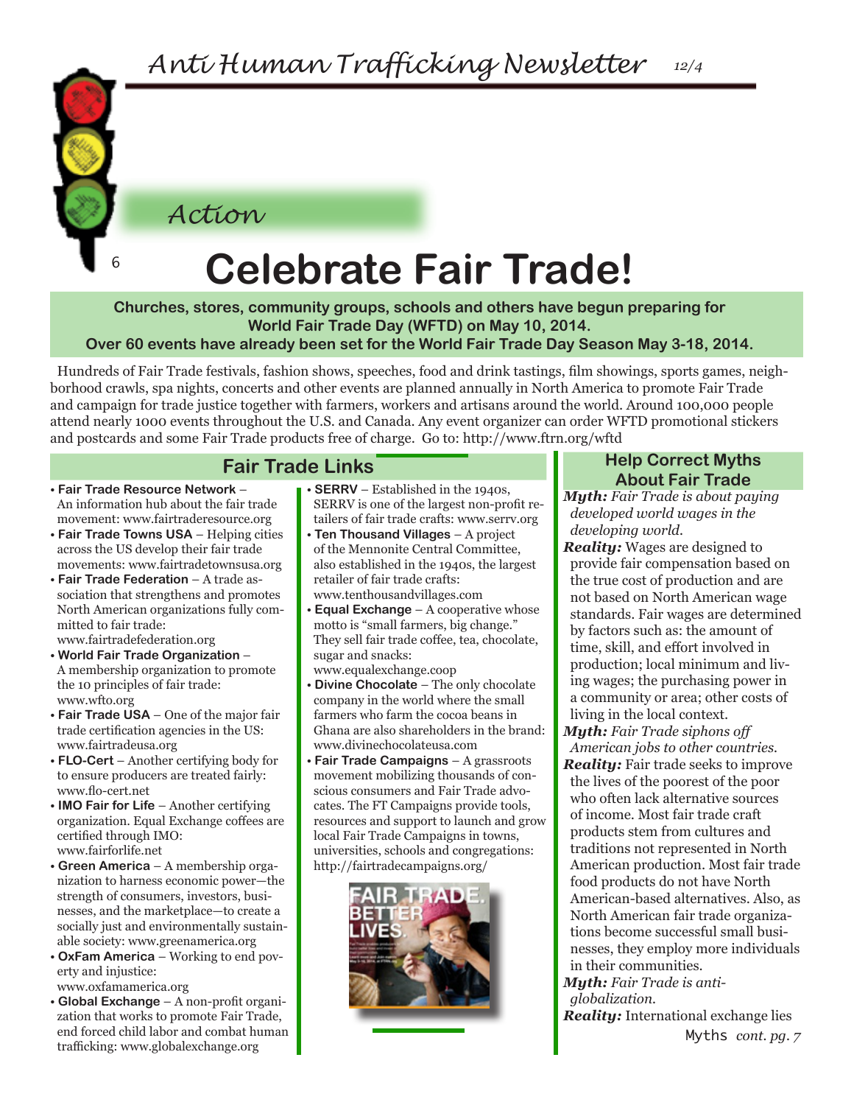*Action*

6

# **Celebrate Fair Trade!**

**Churches, stores, community groups, schools and others have begun preparing for World Fair Trade Day (WFTD) on May 10, 2014.**

**Over 60 events have already been set for the World Fair Trade Day Season May 3-18, 2014.**

Hundreds of Fair Trade festivals, fashion shows, speeches, food and drink tastings, film showings, sports games, neighborhood crawls, spa nights, concerts and other events are planned annually in North America to promote Fair Trade and campaign for trade justice together with farmers, workers and artisans around the world. Around 100,000 people attend nearly 1000 events throughout the U.S. and Canada. Any event organizer can order WFTD promotional stickers and postcards and some Fair Trade products free of charge. Go to: http://www.ftrn.org/wftd

## **Fair Trade Links**

- **Fair Trade Resource Network** An information hub about the fair trade movement: www.fairtraderesource.org
- **Fair Trade Towns USA**  Helping cities across the US develop their fair trade movements: www.fairtradetownsusa.org
- **Fair Trade Federation**  A trade association that strengthens and promotes North American organizations fully committed to fair trade:

www.fairtradefederation.org

- **World Fair Trade Organization** A membership organization to promote the 10 principles of fair trade: www.wfto.org
- **Fair Trade USA** One of the major fair trade certification agencies in the US: www.fairtradeusa.org
- **FLO-Cert**  Another certifying body for to ensure producers are treated fairly: www.flo-cert.net
- **IMO Fair for Life**  Another certifying organization. Equal Exchange coffees are certified through IMO: www.fairforlife.net
- **Green America**  A membership organization to harness economic power—the strength of consumers, investors, businesses, and the marketplace—to create a socially just and environmentally sustainable society: www.greenamerica.org
- **OxFam America**  Working to end poverty and injustice:

www.oxfamamerica.org

• **Global Exchange** – A non-profit organization that works to promote Fair Trade, end forced child labor and combat human trafficking: www.globalexchange.org

- **SERRV** Established in the 1940s, SERRV is one of the largest non-profit retailers of fair trade crafts: www.serrv.org
- **Ten Thousand Villages** A project of the Mennonite Central Committee, also established in the 1940s, the largest retailer of fair trade crafts: www.tenthousandvillages.com
- **Equal Exchange** A cooperative whose motto is "small farmers, big change." They sell fair trade coffee, tea, chocolate, sugar and snacks:
- www.equalexchange.coop • **Divine Chocolate** – The only chocolate company in the world where the small farmers who farm the cocoa beans in Ghana are also shareholders in the brand: www.divinechocolateusa.com
- **Fair Trade Campaigns**  A grassroots movement mobilizing thousands of conscious consumers and Fair Trade advocates. The FT Campaigns provide tools, resources and support to launch and grow local Fair Trade Campaigns in towns, universities, schools and congregations: http://fairtradecampaigns.org/



#### **Help Correct Myths About Fair Trade**

*Myth: Fair Trade is about paying developed world wages in the developing world.*

*Reality:* Wages are designed to provide fair compensation based on the true cost of production and are not based on North American wage standards. Fair wages are determined by factors such as: the amount of time, skill, and effort involved in production; local minimum and living wages; the purchasing power in a community or area; other costs of living in the local context.

*Myth: Fair Trade siphons off American jobs to other countries. Reality:* Fair trade seeks to improve the lives of the poorest of the poor who often lack alternative sources of income. Most fair trade craft products stem from cultures and traditions not represented in North American production. Most fair trade food products do not have North American-based alternatives. Also, as North American fair trade organizations become successful small businesses, they employ more individuals in their communities.

*Myth: Fair Trade is antiglobalization.*

Myths *cont. pg. 7 Reality:* International exchange lies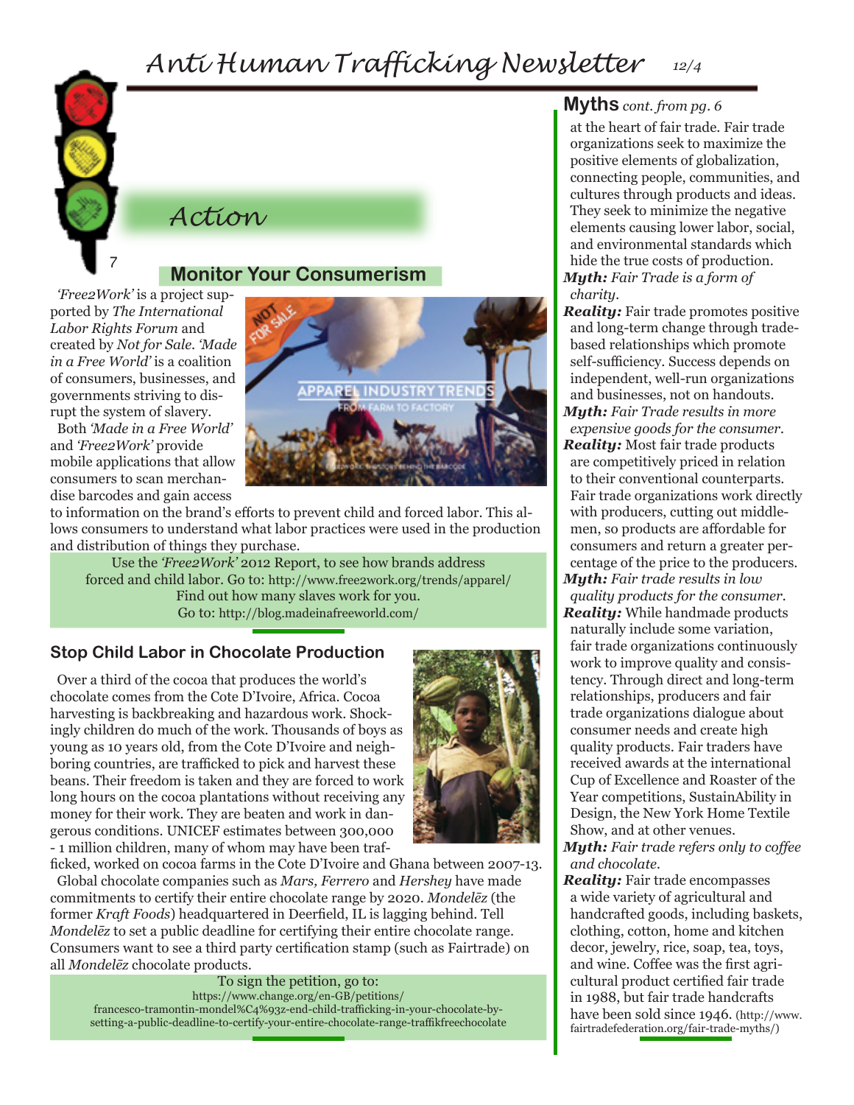# *Anti Human Trafficking Newsletter 12/4*



### *Action*

#### 7

#### **Monitor Your Consumerism**

*'Free2Work'* is a project supported by *The International Labor Rights Forum* and created by *Not for Sale*. *'Made in a Free World'* is a coalition of consumers, businesses, and governments striving to disrupt the system of slavery.

Both *'Made in a Free World'*  and *'Free2Work'* provide mobile applications that allow consumers to scan merchandise barcodes and gain access



to information on the brand's efforts to prevent child and forced labor. This allows consumers to understand what labor practices were used in the production and distribution of things they purchase.

Use the *'Free2Work'* 2012 Report, to see how brands address forced and child labor. Go to: http://www.free2work.org/trends/apparel/ Find out how many slaves work for you. Go to: http://blog.madeinafreeworld.com/

#### **Stop Child Labor in Chocolate Production**

Over a third of the cocoa that produces the world's chocolate comes from the Cote D'Ivoire, Africa. Cocoa harvesting is backbreaking and hazardous work. Shockingly children do much of the work. Thousands of boys as young as 10 years old, from the Cote D'Ivoire and neighboring countries, are trafficked to pick and harvest these beans. Their freedom is taken and they are forced to work long hours on the cocoa plantations without receiving any money for their work. They are beaten and work in dangerous conditions. UNICEF estimates between 300,000 - 1 million children, many of whom may have been traf-



ficked, worked on cocoa farms in the Cote D'Ivoire and Ghana between 2007-13. Global chocolate companies such as *Mars, Ferrero* and *Hershey* have made commitments to certify their entire chocolate range by 2020. *Mondelēz* (the former *Kraft Foods*) headquartered in Deerfield, IL is lagging behind. Tell *Mondelēz* to set a public deadline for certifying their entire chocolate range. Consumers want to see a third party certification stamp (such as Fairtrade) on all *Mondelēz* chocolate products.

To sign the petition, go to: https://www.change.org/en-GB/petitions/ francesco-tramontin-mondel%C4%93z-end-child-trafficking-in-your-chocolate-bysetting-a-public-deadline-to-certify-your-entire-chocolate-range-traffikfreechocolate

## **Myths** *cont. from pg. 6*

at the heart of fair trade. Fair trade organizations seek to maximize the positive elements of globalization, connecting people, communities, and cultures through products and ideas. They seek to minimize the negative elements causing lower labor, social, and environmental standards which hide the true costs of production. *Myth: Fair Trade is a form of charity.*

*Reality:* Fair trade promotes positive and long-term change through tradebased relationships which promote self-sufficiency. Success depends on independent, well-run organizations and businesses, not on handouts. *Myth: Fair Trade results in more expensive goods for the consumer. Reality:* Most fair trade products are competitively priced in relation to their conventional counterparts. Fair trade organizations work directly with producers, cutting out middlemen, so products are affordable for consumers and return a greater percentage of the price to the producers. *Myth: Fair trade results in low* 

*quality products for the consumer. Reality:* While handmade products naturally include some variation, fair trade organizations continuously work to improve quality and consistency. Through direct and long-term relationships, producers and fair trade organizations dialogue about consumer needs and create high quality products. Fair traders have received awards at the international Cup of Excellence and Roaster of the Year competitions, SustainAbility in Design, the New York Home Textile Show, and at other venues. *Myth: Fair trade refers only to coffee* 

*and chocolate. Reality:* Fair trade encompasses a wide variety of agricultural and handcrafted goods, including baskets, clothing, cotton, home and kitchen decor, jewelry, rice, soap, tea, toys, and wine. Coffee was the first agricultural product certified fair trade in 1988, but fair trade handcrafts have been sold since 1946. (http://www. fairtradefederation.org/fair-trade-myths/)